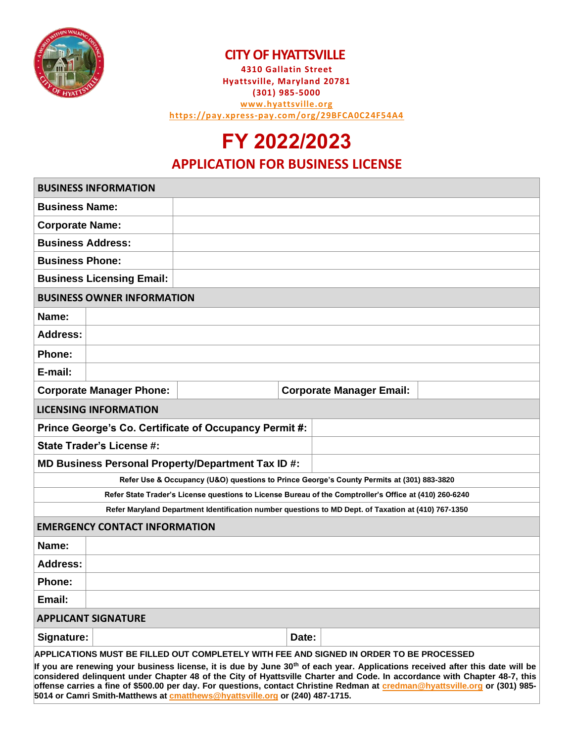

#### **CITY OF HYATTSVILLE**

**4310 Gallatin Street Hyattsville, Maryland 20781 (301) 985-5000 [www.hyattsville.org](http://www.hyattsville.org/) <https://pay.xpress-pay.com/org/29BFCA0C24F54A4>**

# **FY 2022/2023**

#### **APPLICATION FOR BUSINESS LICENSE**

| <b>BUSINESS INFORMATION</b>                                                                                                                                                                                                                                            |  |  |  |
|------------------------------------------------------------------------------------------------------------------------------------------------------------------------------------------------------------------------------------------------------------------------|--|--|--|
| <b>Business Name:</b>                                                                                                                                                                                                                                                  |  |  |  |
| <b>Corporate Name:</b>                                                                                                                                                                                                                                                 |  |  |  |
| <b>Business Address:</b>                                                                                                                                                                                                                                               |  |  |  |
| <b>Business Phone:</b>                                                                                                                                                                                                                                                 |  |  |  |
| <b>Business Licensing Email:</b>                                                                                                                                                                                                                                       |  |  |  |
| <b>BUSINESS OWNER INFORMATION</b>                                                                                                                                                                                                                                      |  |  |  |
| Name:                                                                                                                                                                                                                                                                  |  |  |  |
| Address:                                                                                                                                                                                                                                                               |  |  |  |
|                                                                                                                                                                                                                                                                        |  |  |  |
| E-mail:                                                                                                                                                                                                                                                                |  |  |  |
| <b>Corporate Manager Email:</b><br><b>Corporate Manager Phone:</b>                                                                                                                                                                                                     |  |  |  |
| <b>LICENSING INFORMATION</b>                                                                                                                                                                                                                                           |  |  |  |
| Prince George's Co. Certificate of Occupancy Permit #:                                                                                                                                                                                                                 |  |  |  |
| <b>State Trader's License #:</b>                                                                                                                                                                                                                                       |  |  |  |
| MD Business Personal Property/Department Tax ID #:                                                                                                                                                                                                                     |  |  |  |
| Refer Use & Occupancy (U&O) questions to Prince George's County Permits at (301) 883-3820                                                                                                                                                                              |  |  |  |
| Refer State Trader's License questions to License Bureau of the Comptroller's Office at (410) 260-6240                                                                                                                                                                 |  |  |  |
| Refer Maryland Department Identification number questions to MD Dept. of Taxation at (410) 767-1350                                                                                                                                                                    |  |  |  |
| <b>EMERGENCY CONTACT INFORMATION</b>                                                                                                                                                                                                                                   |  |  |  |
| Name:                                                                                                                                                                                                                                                                  |  |  |  |
| <b>Address:</b>                                                                                                                                                                                                                                                        |  |  |  |
| <b>Phone:</b>                                                                                                                                                                                                                                                          |  |  |  |
| Email:                                                                                                                                                                                                                                                                 |  |  |  |
| <b>APPLICANT SIGNATURE</b>                                                                                                                                                                                                                                             |  |  |  |
| Signature:<br>Date:                                                                                                                                                                                                                                                    |  |  |  |
| APPLICATIONS MUST BE FILLED OUT COMPLETELY WITH FEE AND SIGNED IN ORDER TO BE PROCESSED                                                                                                                                                                                |  |  |  |
| If you are renewing your business license, it is due by June 30 <sup>th</sup> of each year. Applications received after this date will be<br>considered delinguent under Chanter 48 of the City of Hyattsville Charter and Code. In accordance with Chanter 48-7, this |  |  |  |

**considered delinquent under Chapter 48 of the City of Hyattsville Charter and Code. In accordance with Chapter 48-7, this offense carries a fine of \$500.00 per day. For questions, contact Christine Redman at [credman@hyattsville.org](mailto:credman@hyattsville.org) or (301) 985- 5014 or Camri Smith-Matthews a[t cmatthews@hyattsville.org](mailto:cmatthews@hyattsville.org) or (240) 487-1715.**